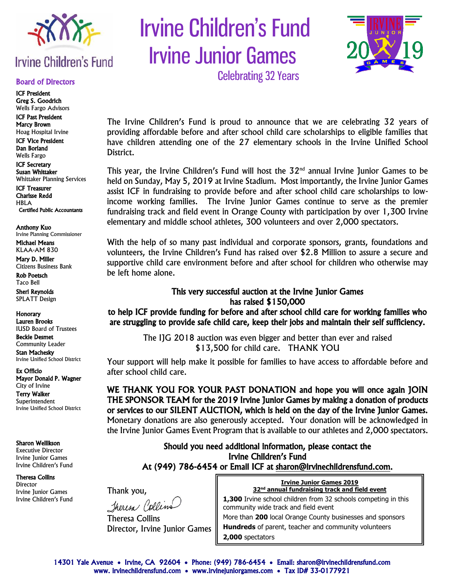

# **Irvine Children's Fund**

#### Board of Directors

ICF President Greg S. Goodrich Wells Fargo Advisors

ICF Past President Marcy Brown Hoag Hospital Irvine ICF Vice President

Dan Borland Wells Fargo

ICF Secretary Susan Whittaker Whittaker Planning Services

ICF Treasurer Charisse Redd HBLA Certified Public Accountants

Anthony Kuo Irvine Planning Commissioner

Michael Means KLAA-AM 830

Mary D. Miller Citizens Business Bank

Rob Poetsch Taco Bell

Sheri Reynolds SPLATT Design

Honorary Lauren Brooks IUSD Board of Trustees

Beckie Desmet Community Leader

Stan Machesky Irvine Unified School District

Ex Officio Mayor Donald P. Wagner City of Irvine

Terry Walker Superintendent

Irvine Unified School District

Sharon Wellikson

Executive Director Irvine Junior Games Irvine Children's Fund

Theresa Collins Director

Irvine Junior Games Irvine Children's Fund  Irvine Children's Fund Irvine Junior Games



Celebrating 32 Years

The Irvine Children's Fund is proud to announce that we are celebrating 32 years of providing affordable before and after school child care scholarships to eligible families that have children attending one of the 27 elementary schools in the Irvine Unified School District.

This year, the Irvine Children's Fund will host the  $32<sup>nd</sup>$  annual Irvine Junior Games to be held on Sunday, May 5, 2019 at Irvine Stadium. Most importantly, the Irvine Junior Games assist ICF in fundraising to provide before and after school child care scholarships to lowincome working families. The Irvine Junior Games continue to serve as the premier fundraising track and field event in Orange County with participation by over 1,300 Irvine elementary and middle school athletes, 300 volunteers and over 2,000 spectators.

With the help of so many past individual and corporate sponsors, grants, foundations and volunteers, the Irvine Children's Fund has raised over \$2.8 Million to assure a secure and supportive child care environment before and after school for children who otherwise may be left home alone.

#### This very successful auction at the Irvine Junior Games has raised \$150,000

to help ICF provide funding for before and after school child care for working families who are struggling to provide safe child care, keep their jobs and maintain their self sufficiency.

> The IJG 2018 auction was even bigger and better than ever and raised \$13,500 for child care. THANK YOU

Your support will help make it possible for families to have access to affordable before and after school child care.

WE THANK YOU FOR YOUR PAST DONATION and hope you will once again JOIN THE SPONSOR TEAM for the 2019 Irvine Junior Games by making a donation of products or services to our SILENT AUCTION, which is held on the day of the Irvine Junior Games. Monetary donations are also generously accepted. Your donation will be acknowledged in the Irvine Junior Games Event Program that is available to our athletes and 2,000 spectators.

> Should you need additional information, please contact the Irvine Children's Fund At (949) 786-6454 or Email ICF at [sharon@irvinechildrensfund.com.](mailto:sharon@irvinechildrensfund.com)

> > l

Thank you, Theresa Collins

Theresa Collins Director, Irvine Junior Games

| <b>Irvine Junior Games 2019</b>                                  |  |  |  |  |
|------------------------------------------------------------------|--|--|--|--|
| 32 <sup>nd</sup> annual fundraising track and field event        |  |  |  |  |
| 1,300 Irvine school children from 32 schools competing in this   |  |  |  |  |
| community wide track and field event                             |  |  |  |  |
| More than <b>200</b> local Orange County businesses and spensors |  |  |  |  |

More than **200** local Orange County businesses and sponsors **Hundreds** of parent, teacher and community volunteers **2,000** spectators

٦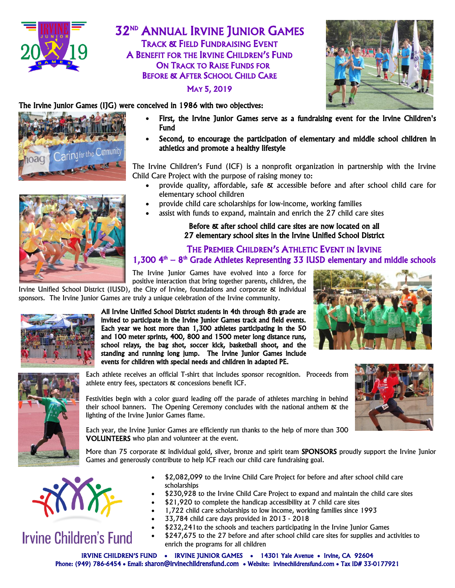

## 32ND ANNUAL IRVINE JUNIOR GAMES TRACK & FIELD FUNDRAISING EVENT A BENEFIT FOR THE IRVINE CHILDREN'S FUND ON TRACK TO RAISE FUNDS FOR BEFORE & AFTER SCHOOL CHILD CARE

MAY 5, 2019



### The Irvine Junior Games (IJG) were conceived in 1986 with two objectives:



- First, the Irvine Junior Games serve as a fundraising event for the Irvine Children's Fund
- Second, to encourage the participation of elementary and middle school children in athletics and promote a healthy lifestyle

The Irvine Children's Fund (ICF) is a nonprofit organization in partnership with the Irvine Child Care Project with the purpose of raising money to:

- provide quality, affordable, safe & accessible before and after school child care for elementary school children
- provide child care scholarships for low-income, working families
- assist with funds to expand, maintain and enrich the 27 child care sites

#### Before & after school child care sites are now located on all 27 elementary school sites in the Irvine Unified School District

## THE PREMIER CHILDREN'S ATHLETIC EVENT IN IRVINE  $1,300$   $4<sup>th</sup>$  –  $8<sup>th</sup>$  Grade Athletes Representing 33 IUSD elementary and middle schools

The Irvine Junior Games have evolved into a force for positive interaction that bring together parents, children, the Irvine Unified School District (IUSD), the City of Irvine, foundations and corporate & individual

sponsors. The Irvine Junior Games are truly a unique celebration of the Irvine community.



All Irvine Unified School District students in 4th through 8th grade are invited to participate in the Irvine Junior Games track and field events. Each year we host more than 1,300 athletes participating in the 50 and 100 meter sprints, 400, 800 and 1500 meter long distance runs, school relays, the bag shot, soccer kick, basketball shoot, and the standing and running long jump. The Irvine Junior Games include events for children with special needs and children in adapted PE.





Each athlete receives an official T-shirt that includes sponsor recognition. Proceeds from athlete entry fees, spectators & concessions benefit ICF.

Festivities begin with a color guard leading off the parade of athletes marching in behind their school banners. The Opening Ceremony concludes with the national anthem  $\alpha$  the lighting of the Irvine Junior Games flame.

Each year, the Irvine Junior Games are efficiently run thanks to the help of more than 300 VOLUNTEERS who plan and volunteer at the event.

More than 75 corporate & individual gold, silver, bronze and spirit team **SPONSORS** proudly support the Irvine Junior Games and generously contribute to help ICF reach our child care fundraising goal.



# **Irvine Children's Fund**

- \$2,082,099 to the Irvine Child Care Project for before and after school child care scholarships
- \$230,928 to the Irvine Child Care Project to expand and maintain the child care sites
- \$21,920 to complete the handicap accessibility at 7 child care sites
- 1,722 child care scholarships to low income, working families since 1993
- 33,784 child care days provided in 2013 2018
- \$232,241to the schools and teachers participating in the Irvine Junior Games
- \$247,675 to the 27 before and after school child care sites for supplies and activities to enrich the programs for all children

IRVINE CHILDREN'S FUND • IRVINE JUNIOR GAMES • 14301 Yale Avenue • Irvine, CA 92604 Phone: (949) 786-6454 • Email: [sharon@irvinechildrensfund.com](mailto:sharon@irvinechildrensfund.com) • Website: irvinechildrensfund.com • Tax ID# 33-0177921

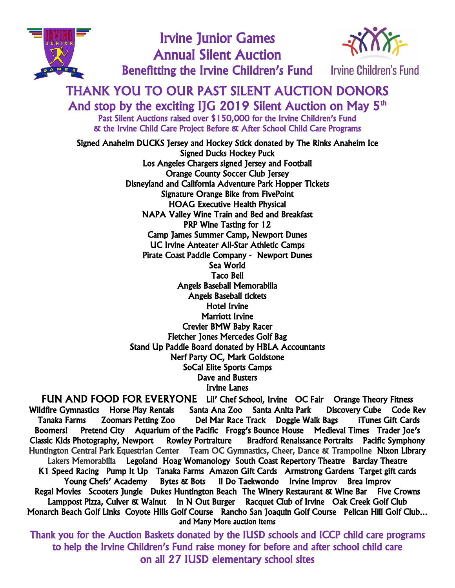

Irvine Junior Games Annual Silent Auction Benefitting the Irvine Children's Fund Irvine Children's Fund



# THANK YOU TO OUR PAST SILENT AUCTION DONORS

And stop by the exciting IJG 2019 Silent Auction on May  $5<sup>th</sup>$ Past Silent Auctions raised over \$150,000 for the Irvine Children's Fund & the Irvine Child Care Project Before & After School Child Care Programs

Signed Anaheim DUCKS Jersey and Hockey Stick donated by The Rinks Anaheim Ice Signed Ducks Hockey Puck Los Angeles Chargers signed Jersey and Football Orange County Soccer Club Jersey Disneyland and California Adventure Park Hopper Tickets Signature Orange Bike from FivePoint HOAG Executive Health Physical NAPA Valley Wine Train and Bed and Breakfast PRP Wine Tasting for 12 Camp James Summer Camp, Newport Dunes UC Irvine Anteater All-Star Athletic Camps Pirate Coast Paddle Company - Newport Dunes Sea World Taco Bell Angels Baseball Memorabilia Angels Baseball tickets Hotel Irvine Marriott Irvine Crevier BMW Baby Racer Fletcher Jones Mercedes Golf Bag Stand Up Paddle Board donated by HBLA Accountants Nerf Party OC, Mark Goldstone SoCal Elite Sports Camps Dave and Busters Irvine Lanes

FUN AND FOOD FOR EVERYONE Lil' Chef School, Irvine OC Fair Orange Theory Fitness Wildfire Gymnastics Horse Play Rentals Santa Ana Zoo Santa Anita Park Discovery Cube Code Rev Tanaka Farms Zoomars Petting Zoo Del Mar Race Track Doggie Walk Bags iTunes Gift Cards Boomers! Pretend City Aquarium of the Pacific Frogg's Bounce House Medieval Times Trader Joe's Classic Kids Photography, Newport Rowley Portraiture Bradford Renaissance Portraits Pacific Symphony Huntington Central Park Equestrian Center Team OC Gymnastics, Cheer, Dance & Trampoline Nixon Library Lakers Memorabilia Legoland Hoag Womanology South Coast Repertory Theatre Barclay Theatre K1 Speed Racing Pump It Up Tanaka Farms Amazon Gift Cards Armstrong Gardens Target gift cards Young Chefs' Academy Bytes & Bots II Do Taekwondo Irvine Improv Brea Improv Regal Movies Scooters Jungle Dukes Huntington Beach The Winery Restaurant & Wine Bar Five Crowns Lamppost Pizza, Culver & Walnut In N Out Burger Racquet Club of Irvine Oak Creek Golf Club Monarch Beach Golf Links Coyote Hills Golf Course Rancho San Joaquin Golf Course Pelican Hill Golf Club… and Many More auction items

Thank you for the Auction Baskets donated by the IUSD schools and ICCP child care programs to help the Irvine Children's Fund raise money for before and after school child care on all 27 IUSD elementary school sites